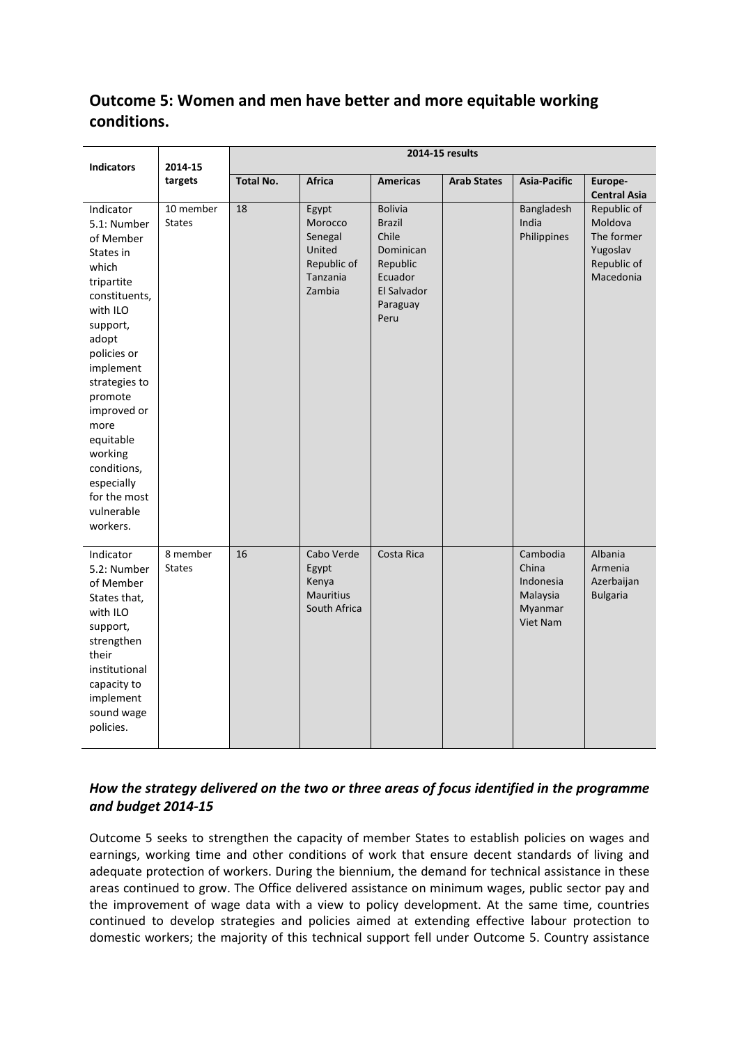# **Outcome 5: Women and men have better and more equitable working conditions.**

| <b>Indicators</b>                                                                                                                                                                                                                                                                                         | 2014-15<br>targets         | 2014-15 results  |                                                                            |                                                                                                                 |                    |                                                                   |                                                                              |  |
|-----------------------------------------------------------------------------------------------------------------------------------------------------------------------------------------------------------------------------------------------------------------------------------------------------------|----------------------------|------------------|----------------------------------------------------------------------------|-----------------------------------------------------------------------------------------------------------------|--------------------|-------------------------------------------------------------------|------------------------------------------------------------------------------|--|
|                                                                                                                                                                                                                                                                                                           |                            | <b>Total No.</b> | <b>Africa</b>                                                              | <b>Americas</b>                                                                                                 | <b>Arab States</b> | Asia-Pacific                                                      | Europe-<br><b>Central Asia</b>                                               |  |
| Indicator<br>5.1: Number<br>of Member<br>States in<br>which<br>tripartite<br>constituents,<br>with ILO<br>support,<br>adopt<br>policies or<br>implement<br>strategies to<br>promote<br>improved or<br>more<br>equitable<br>working<br>conditions,<br>especially<br>for the most<br>vulnerable<br>workers. | 10 member<br><b>States</b> | 18               | Egypt<br>Morocco<br>Senegal<br>United<br>Republic of<br>Tanzania<br>Zambia | <b>Bolivia</b><br><b>Brazil</b><br>Chile<br>Dominican<br>Republic<br>Ecuador<br>El Salvador<br>Paraguay<br>Peru |                    | Bangladesh<br>India<br>Philippines                                | Republic of<br>Moldova<br>The former<br>Yugoslav<br>Republic of<br>Macedonia |  |
| Indicator<br>5.2: Number<br>of Member<br>States that,<br>with ILO<br>support,<br>strengthen<br>their<br>institutional<br>capacity to<br>implement<br>sound wage<br>policies.                                                                                                                              | 8 member<br><b>States</b>  | 16               | Cabo Verde<br>Egypt<br>Kenya<br><b>Mauritius</b><br>South Africa           | Costa Rica                                                                                                      |                    | Cambodia<br>China<br>Indonesia<br>Malaysia<br>Myanmar<br>Viet Nam | Albania<br>Armenia<br>Azerbaijan<br><b>Bulgaria</b>                          |  |

# *How the strategy delivered on the two or three areas of focus identified in the programme and budget 2014-15*

Outcome 5 seeks to strengthen the capacity of member States to establish policies on wages and earnings, working time and other conditions of work that ensure decent standards of living and adequate protection of workers. During the biennium, the demand for technical assistance in these areas continued to grow. The Office delivered assistance on minimum wages, public sector pay and the improvement of wage data with a view to policy development. At the same time, countries continued to develop strategies and policies aimed at extending effective labour protection to domestic workers; the majority of this technical support fell under Outcome 5. Country assistance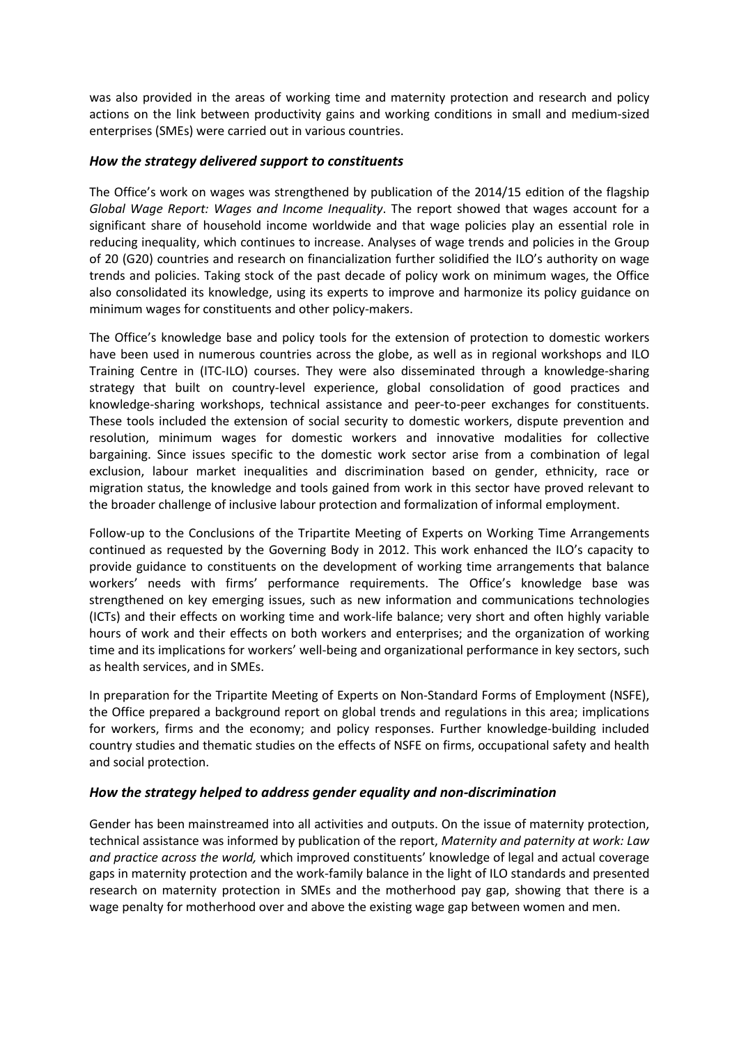was also provided in the areas of working time and maternity protection and research and policy actions on the link between productivity gains and working conditions in small and medium-sized enterprises (SMEs) were carried out in various countries.

#### *How the strategy delivered support to constituents*

The Office's work on wages was strengthened by publication of the 2014/15 edition of the flagship *Global Wage Report: Wages and Income Inequality*. The report showed that wages account for a significant share of household income worldwide and that wage policies play an essential role in reducing inequality, which continues to increase. Analyses of wage trends and policies in the Group of 20 (G20) countries and research on financialization further solidified the ILO's authority on wage trends and policies. Taking stock of the past decade of policy work on minimum wages, the Office also consolidated its knowledge, using its experts to improve and harmonize its policy guidance on minimum wages for constituents and other policy-makers.

The Office's knowledge base and policy tools for the extension of protection to domestic workers have been used in numerous countries across the globe, as well as in regional workshops and ILO Training Centre in (ITC-ILO) courses. They were also disseminated through a knowledge-sharing strategy that built on country-level experience, global consolidation of good practices and knowledge-sharing workshops, technical assistance and peer-to-peer exchanges for constituents. These tools included the extension of social security to domestic workers, dispute prevention and resolution, minimum wages for domestic workers and innovative modalities for collective bargaining. Since issues specific to the domestic work sector arise from a combination of legal exclusion, labour market inequalities and discrimination based on gender, ethnicity, race or migration status, the knowledge and tools gained from work in this sector have proved relevant to the broader challenge of inclusive labour protection and formalization of informal employment.

Follow-up to the Conclusions of the Tripartite Meeting of Experts on Working Time Arrangements continued as requested by the Governing Body in 2012. This work enhanced the ILO's capacity to provide guidance to constituents on the development of working time arrangements that balance workers' needs with firms' performance requirements. The Office's knowledge base was strengthened on key emerging issues, such as new information and communications technologies (ICTs) and their effects on working time and work-life balance; very short and often highly variable hours of work and their effects on both workers and enterprises; and the organization of working time and its implications for workers' well-being and organizational performance in key sectors, such as health services, and in SMEs.

In preparation for the Tripartite Meeting of Experts on Non-Standard Forms of Employment (NSFE), the Office prepared a background report on global trends and regulations in this area; implications for workers, firms and the economy; and policy responses. Further knowledge-building included country studies and thematic studies on the effects of NSFE on firms, occupational safety and health and social protection.

## *How the strategy helped to address gender equality and non-discrimination*

Gender has been mainstreamed into all activities and outputs. On the issue of maternity protection, technical assistance was informed by publication of the report, *Maternity and paternity at work: Law and practice across the world,* which improved constituents' knowledge of legal and actual coverage gaps in maternity protection and the work-family balance in the light of ILO standards and presented research on maternity protection in SMEs and the motherhood pay gap, showing that there is a wage penalty for motherhood over and above the existing wage gap between women and men.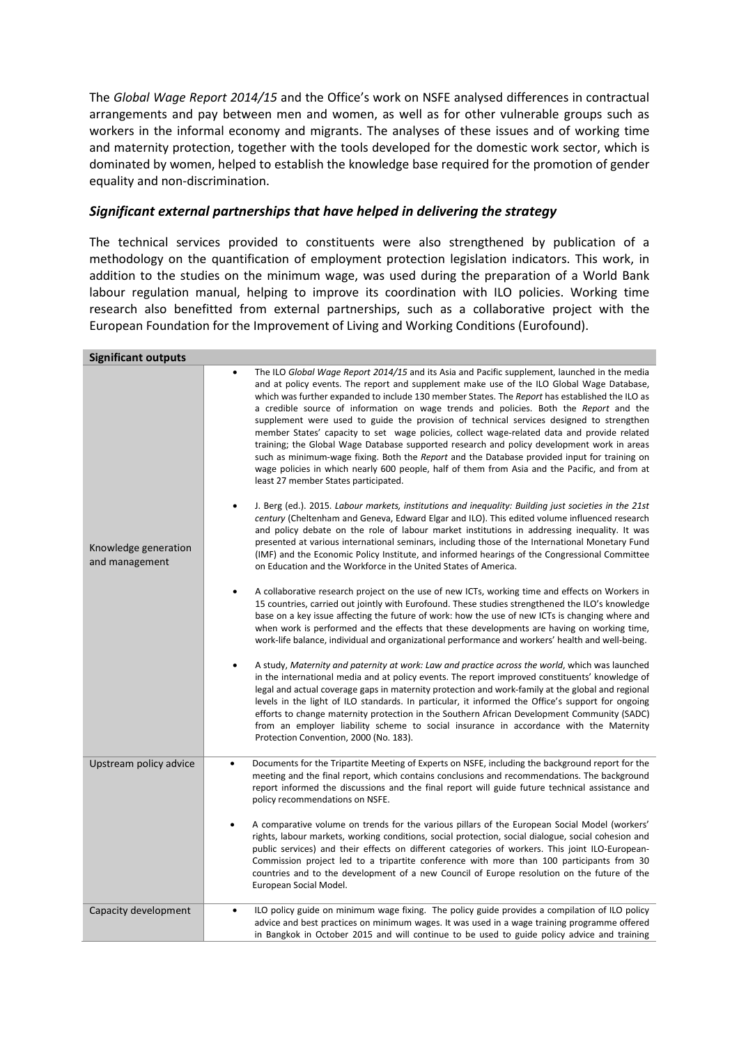The *Global Wage Report 2014/15* and the Office's work on NSFE analysed differences in contractual arrangements and pay between men and women, as well as for other vulnerable groups such as workers in the informal economy and migrants. The analyses of these issues and of working time and maternity protection, together with the tools developed for the domestic work sector, which is dominated by women, helped to establish the knowledge base required for the promotion of gender equality and non-discrimination.

## *Significant external partnerships that have helped in delivering the strategy*

The technical services provided to constituents were also strengthened by publication of a methodology on the quantification of employment protection legislation indicators. This work, in addition to the studies on the minimum wage, was used during the preparation of a World Bank labour regulation manual, helping to improve its coordination with ILO policies. Working time research also benefitted from external partnerships, such as a collaborative project with the European Foundation for the Improvement of Living and Working Conditions (Eurofound).

| <b>Significant outputs</b>             |                                                                                                                                                                                                                                                                                                                                                                                                                                                                                                                                                                                                                                                                                                                                                                                                                                                                                                                              |
|----------------------------------------|------------------------------------------------------------------------------------------------------------------------------------------------------------------------------------------------------------------------------------------------------------------------------------------------------------------------------------------------------------------------------------------------------------------------------------------------------------------------------------------------------------------------------------------------------------------------------------------------------------------------------------------------------------------------------------------------------------------------------------------------------------------------------------------------------------------------------------------------------------------------------------------------------------------------------|
|                                        | The ILO Global Wage Report 2014/15 and its Asia and Pacific supplement, launched in the media<br>٠<br>and at policy events. The report and supplement make use of the ILO Global Wage Database,<br>which was further expanded to include 130 member States. The Report has established the ILO as<br>a credible source of information on wage trends and policies. Both the Report and the<br>supplement were used to guide the provision of technical services designed to strengthen<br>member States' capacity to set wage policies, collect wage-related data and provide related<br>training; the Global Wage Database supported research and policy development work in areas<br>such as minimum-wage fixing. Both the Report and the Database provided input for training on<br>wage policies in which nearly 600 people, half of them from Asia and the Pacific, and from at<br>least 27 member States participated. |
| Knowledge generation<br>and management | J. Berg (ed.). 2015. Labour markets, institutions and inequality: Building just societies in the 21st<br>century (Cheltenham and Geneva, Edward Elgar and ILO). This edited volume influenced research<br>and policy debate on the role of labour market institutions in addressing inequality. It was<br>presented at various international seminars, including those of the International Monetary Fund<br>(IMF) and the Economic Policy Institute, and informed hearings of the Congressional Committee<br>on Education and the Workforce in the United States of America.                                                                                                                                                                                                                                                                                                                                                |
|                                        | A collaborative research project on the use of new ICTs, working time and effects on Workers in<br>$\bullet$<br>15 countries, carried out jointly with Eurofound. These studies strengthened the ILO's knowledge<br>base on a key issue affecting the future of work: how the use of new ICTs is changing where and<br>when work is performed and the effects that these developments are having on working time,<br>work-life balance, individual and organizational performance and workers' health and well-being.                                                                                                                                                                                                                                                                                                                                                                                                        |
|                                        | A study, Maternity and paternity at work: Law and practice across the world, which was launched<br>in the international media and at policy events. The report improved constituents' knowledge of<br>legal and actual coverage gaps in maternity protection and work-family at the global and regional<br>levels in the light of ILO standards. In particular, it informed the Office's support for ongoing<br>efforts to change maternity protection in the Southern African Development Community (SADC)<br>from an employer liability scheme to social insurance in accordance with the Maternity<br>Protection Convention, 2000 (No. 183).                                                                                                                                                                                                                                                                              |
| Upstream policy advice                 | Documents for the Tripartite Meeting of Experts on NSFE, including the background report for the<br>$\bullet$<br>meeting and the final report, which contains conclusions and recommendations. The background<br>report informed the discussions and the final report will guide future technical assistance and<br>policy recommendations on NSFE.                                                                                                                                                                                                                                                                                                                                                                                                                                                                                                                                                                          |
|                                        | A comparative volume on trends for the various pillars of the European Social Model (workers'<br>rights, labour markets, working conditions, social protection, social dialogue, social cohesion and<br>public services) and their effects on different categories of workers. This joint ILO-European-<br>Commission project led to a tripartite conference with more than 100 participants from 30<br>countries and to the development of a new Council of Europe resolution on the future of the<br>European Social Model.                                                                                                                                                                                                                                                                                                                                                                                                |
| Capacity development                   | ILO policy guide on minimum wage fixing. The policy guide provides a compilation of ILO policy<br>$\bullet$<br>advice and best practices on minimum wages. It was used in a wage training programme offered<br>in Bangkok in October 2015 and will continue to be used to guide policy advice and training                                                                                                                                                                                                                                                                                                                                                                                                                                                                                                                                                                                                                   |